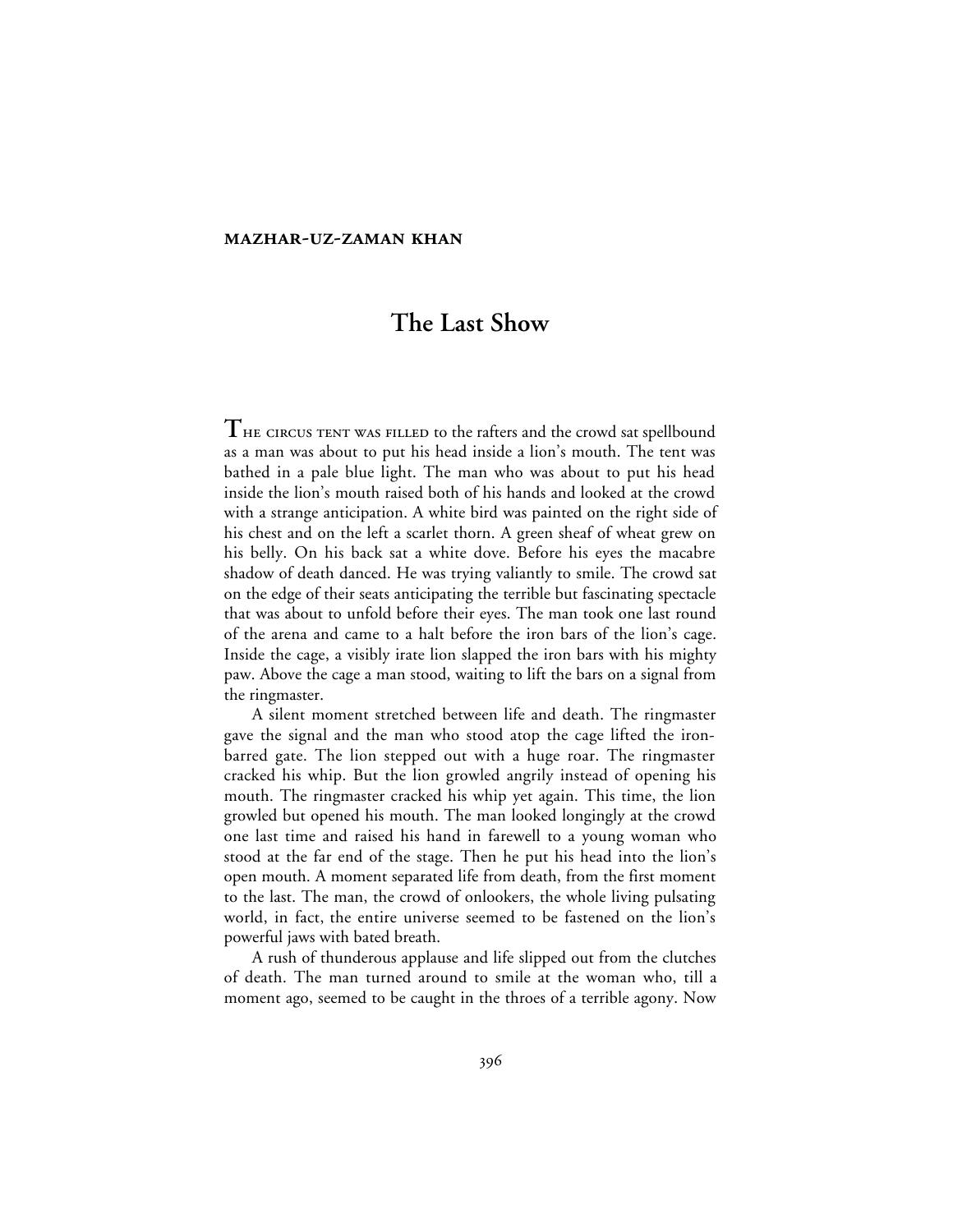## **MAZHAR-UZ-ZAMAN KHAN**

## **The Last Show**

**T** HE CIRCUS TENT WAS FILLED to the rafters and the crowd sat spellbound as a man was about to put his head inside a lion's mouth. The tent was bathed in a pale blue light. The man who was about to put his head inside the lion's mouth raised both of his hands and looked at the crowd with a strange anticipation. A white bird was painted on the right side of his chest and on the left a scarlet thorn. A green sheaf of wheat grew on his belly. On his back sat a white dove. Before his eyes the macabre shadow of death danced. He was trying valiantly to smile. The crowd sat on the edge of their seats anticipating the terrible but fascinating spectacle that was about to unfold before their eyes. The man took one last round of the arena and came to a halt before the iron bars of the lion's cage. Inside the cage, a visibly irate lion slapped the iron bars with his mighty paw. Above the cage a man stood, waiting to lift the bars on a signal from the ringmaster.

A silent moment stretched between life and death. The ringmaster gave the signal and the man who stood atop the cage lifted the ironbarred gate. The lion stepped out with a huge roar. The ringmaster cracked his whip. But the lion growled angrily instead of opening his mouth. The ringmaster cracked his whip yet again. This time, the lion growled but opened his mouth. The man looked longingly at the crowd one last time and raised his hand in farewell to a young woman who stood at the far end of the stage. Then he put his head into the lion's open mouth. A moment separated life from death, from the first moment to the last. The man, the crowd of onlookers, the whole living pulsating world, in fact, the entire universe seemed to be fastened on the lion's powerful jaws with bated breath.

A rush of thunderous applause and life slipped out from the clutches of death. The man turned around to smile at the woman who, till a moment ago, seemed to be caught in the throes of a terrible agony. Now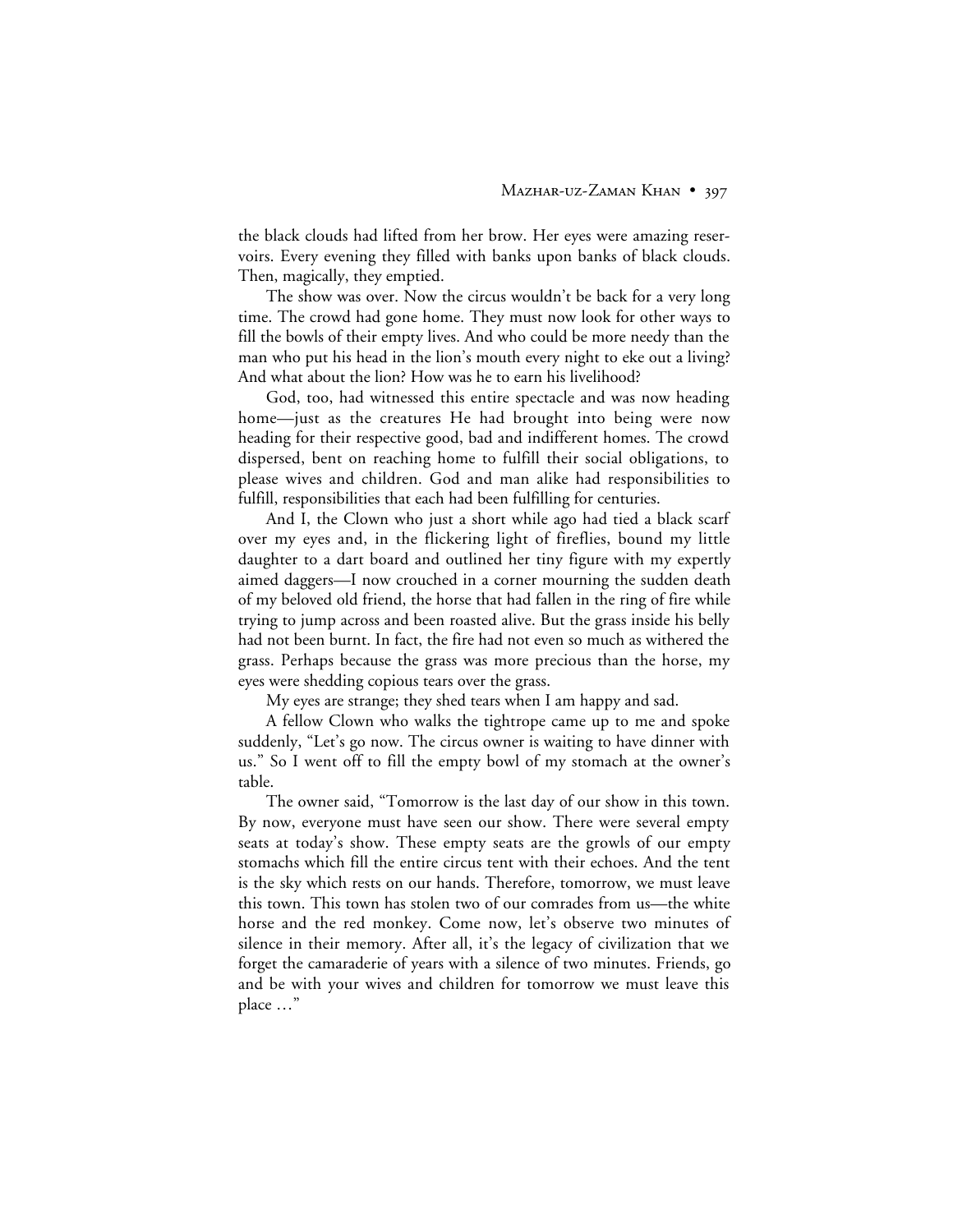the black clouds had lifted from her brow. Her eyes were amazing reservoirs. Every evening they filled with banks upon banks of black clouds. Then, magically, they emptied.

The show was over. Now the circus wouldn't be back for a very long time. The crowd had gone home. They must now look for other ways to fill the bowls of their empty lives. And who could be more needy than the man who put his head in the lion's mouth every night to eke out a living? And what about the lion? How was he to earn his livelihood?

God, too, had witnessed this entire spectacle and was now heading home—just as the creatures He had brought into being were now heading for their respective good, bad and indifferent homes. The crowd dispersed, bent on reaching home to fulfill their social obligations, to please wives and children. God and man alike had responsibilities to fulfill, responsibilities that each had been fulfilling for centuries.

And I, the Clown who just a short while ago had tied a black scarf over my eyes and, in the flickering light of fireflies, bound my little daughter to a dart board and outlined her tiny figure with my expertly aimed daggers—I now crouched in a corner mourning the sudden death of my beloved old friend, the horse that had fallen in the ring of fire while trying to jump across and been roasted alive. But the grass inside his belly had not been burnt. In fact, the fire had not even so much as withered the grass. Perhaps because the grass was more precious than the horse, my eyes were shedding copious tears over the grass.

My eyes are strange; they shed tears when I am happy and sad.

A fellow Clown who walks the tightrope came up to me and spoke suddenly, "Let's go now. The circus owner is waiting to have dinner with us." So I went off to fill the empty bowl of my stomach at the owner's table.

The owner said, "Tomorrow is the last day of our show in this town. By now, everyone must have seen our show. There were several empty seats at today's show. These empty seats are the growls of our empty stomachs which fill the entire circus tent with their echoes. And the tent is the sky which rests on our hands. Therefore, tomorrow, we must leave this town. This town has stolen two of our comrades from us—the white horse and the red monkey. Come now, let's observe two minutes of silence in their memory. After all, it's the legacy of civilization that we forget the camaraderie of years with a silence of two minutes. Friends, go and be with your wives and children for tomorrow we must leave this place …"